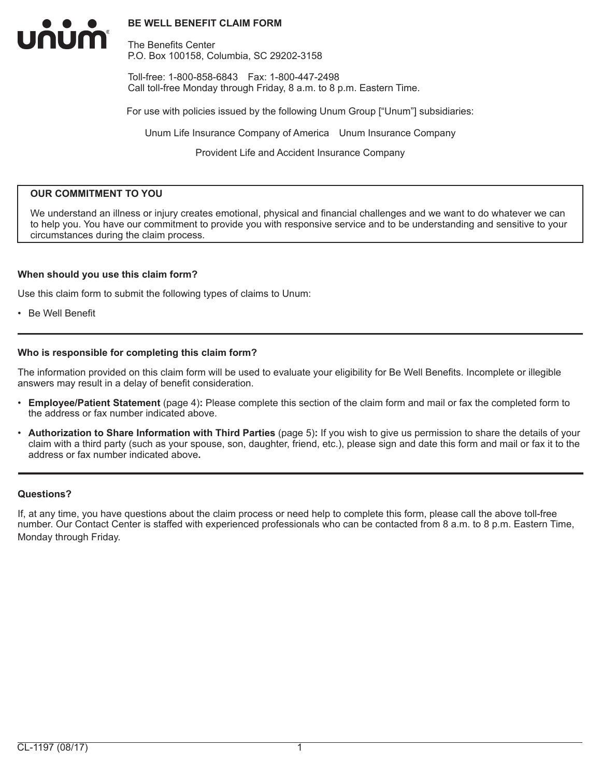#### **BE WELL BENEFIT CLAIM FORM**

The Benefits Center P.O. Box 100158, Columbia, SC 29202-3158

Toll-free: 1-800-858-6843 Fax: 1-800-447-2498 Call toll-free Monday through Friday, 8 a.m. to 8 p.m. Eastern Time.

For use with policies issued by the following Unum Group ["Unum"] subsidiaries:

Unum Life Insurance Company of America Unum Insurance Company

Provident Life and Accident Insurance Company

#### **OUR COMMITMENT TO YOU**

We understand an illness or injury creates emotional, physical and financial challenges and we want to do whatever we can to help you. You have our commitment to provide you with responsive service and to be understanding and sensitive to your circumstances during the claim process.

#### **When should you use this claim form?**

Use this claim form to submit the following types of claims to Unum:

• Be Well Benefit

UNUM

#### **Who is responsible for completing this claim form?**

The information provided on this claim form will be used to evaluate your eligibility for Be Well Benefits. Incomplete or illegible answers may result in a delay of benefit consideration.

- **Employee/Patient Statement** (page 4)**:** Please complete this section of the claim form and mail or fax the completed form to the address or fax number indicated above.
- **Authorization to Share Information with Third Parties** (page 5)**:** If you wish to give us permission to share the details of your claim with a third party (such as your spouse, son, daughter, friend, etc.), please sign and date this form and mail or fax it to the address or fax number indicated above**.**

#### **Questions?**

If, at any time, you have questions about the claim process or need help to complete this form, please call the above toll-free number. Our Contact Center is staffed with experienced professionals who can be contacted from 8 a.m. to 8 p.m. Eastern Time, Monday through Friday.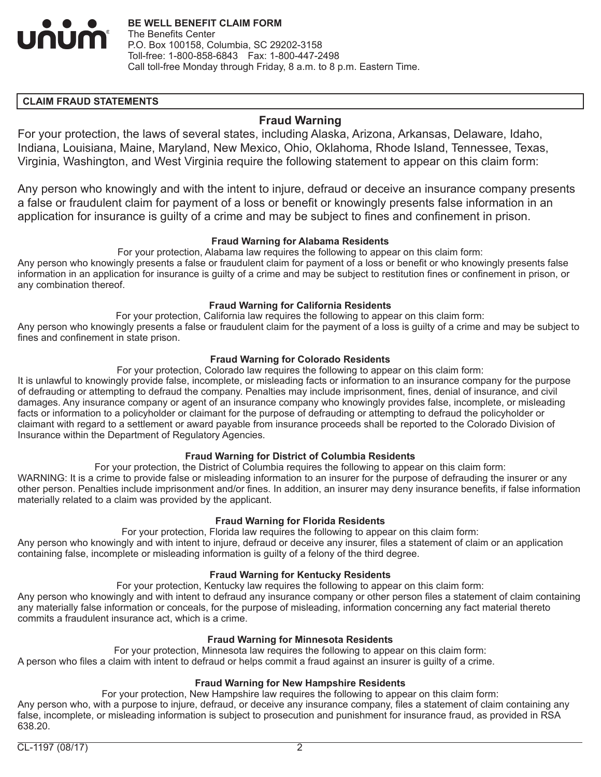

## **CLAIM FRAUD STATEMENTS**

# **Fraud Warning**

For your protection, the laws of several states, including Alaska, Arizona, Arkansas, Delaware, Idaho, Indiana, Louisiana, Maine, Maryland, New Mexico, Ohio, Oklahoma, Rhode Island, Tennessee, Texas, Virginia, Washington, and West Virginia require the following statement to appear on this claim form:

Any person who knowingly and with the intent to injure, defraud or deceive an insurance company presents a false or fraudulent claim for payment of a loss or benefit or knowingly presents false information in an application for insurance is guilty of a crime and may be subject to fines and confinement in prison.

#### **Fraud Warning for Alabama Residents**

For your protection, Alabama law requires the following to appear on this claim form: Any person who knowingly presents a false or fraudulent claim for payment of a loss or benefit or who knowingly presents false information in an application for insurance is guilty of a crime and may be subject to restitution fines or confinement in prison, or any combination thereof.

#### **Fraud Warning for California Residents**

For your protection, California law requires the following to appear on this claim form: Any person who knowingly presents a false or fraudulent claim for the payment of a loss is guilty of a crime and may be subject to fines and confinement in state prison.

### **Fraud Warning for Colorado Residents**

For your protection, Colorado law requires the following to appear on this claim form:

It is unlawful to knowingly provide false, incomplete, or misleading facts or information to an insurance company for the purpose of defrauding or attempting to defraud the company. Penalties may include imprisonment, fines, denial of insurance, and civil damages. Any insurance company or agent of an insurance company who knowingly provides false, incomplete, or misleading facts or information to a policyholder or claimant for the purpose of defrauding or attempting to defraud the policyholder or claimant with regard to a settlement or award payable from insurance proceeds shall be reported to the Colorado Division of Insurance within the Department of Regulatory Agencies.

#### **Fraud Warning for District of Columbia Residents**

For your protection, the District of Columbia requires the following to appear on this claim form: WARNING: It is a crime to provide false or misleading information to an insurer for the purpose of defrauding the insurer or any other person. Penalties include imprisonment and/or fines. In addition, an insurer may deny insurance benefits, if false information materially related to a claim was provided by the applicant.

#### **Fraud Warning for Florida Residents**

For your protection, Florida law requires the following to appear on this claim form: Any person who knowingly and with intent to injure, defraud or deceive any insurer, files a statement of claim or an application containing false, incomplete or misleading information is guilty of a felony of the third degree.

#### **Fraud Warning for Kentucky Residents**

For your protection, Kentucky law requires the following to appear on this claim form:

Any person who knowingly and with intent to defraud any insurance company or other person files a statement of claim containing any materially false information or conceals, for the purpose of misleading, information concerning any fact material thereto commits a fraudulent insurance act, which is a crime.

#### **Fraud Warning for Minnesota Residents**

For your protection, Minnesota law requires the following to appear on this claim form: A person who files a claim with intent to defraud or helps commit a fraud against an insurer is guilty of a crime.

#### **Fraud Warning for New Hampshire Residents**

For your protection, New Hampshire law requires the following to appear on this claim form: Any person who, with a purpose to injure, defraud, or deceive any insurance company, files a statement of claim containing any false, incomplete, or misleading information is subject to prosecution and punishment for insurance fraud, as provided in RSA 638.20.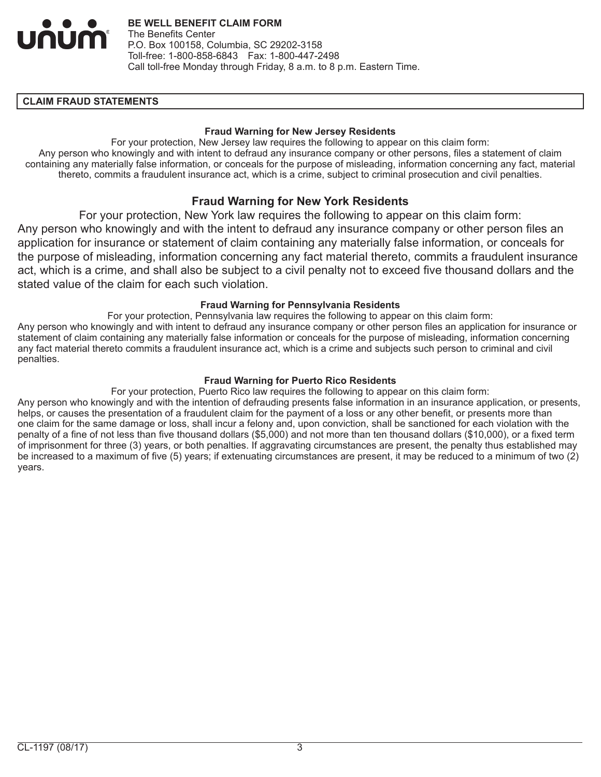

#### **CLAIM FRAUD STATEMENTS**

#### **Fraud Warning for New Jersey Residents**

For your protection, New Jersey law requires the following to appear on this claim form: Any person who knowingly and with intent to defraud any insurance company or other persons, files a statement of claim containing any materially false information, or conceals for the purpose of misleading, information concerning any fact, material thereto, commits a fraudulent insurance act, which is a crime, subject to criminal prosecution and civil penalties.

# **Fraud Warning for New York Residents**

For your protection, New York law requires the following to appear on this claim form: Any person who knowingly and with the intent to defraud any insurance company or other person files an application for insurance or statement of claim containing any materially false information, or conceals for the purpose of misleading, information concerning any fact material thereto, commits a fraudulent insurance act, which is a crime, and shall also be subject to a civil penalty not to exceed five thousand dollars and the stated value of the claim for each such violation.

#### **Fraud Warning for Pennsylvania Residents**

For your protection, Pennsylvania law requires the following to appear on this claim form: Any person who knowingly and with intent to defraud any insurance company or other person files an application for insurance or statement of claim containing any materially false information or conceals for the purpose of misleading, information concerning any fact material thereto commits a fraudulent insurance act, which is a crime and subjects such person to criminal and civil penalties.

### **Fraud Warning for Puerto Rico Residents**

For your protection, Puerto Rico law requires the following to appear on this claim form:

Any person who knowingly and with the intention of defrauding presents false information in an insurance application, or presents, helps, or causes the presentation of a fraudulent claim for the payment of a loss or any other benefit, or presents more than one claim for the same damage or loss, shall incur a felony and, upon conviction, shall be sanctioned for each violation with the penalty of a fine of not less than five thousand dollars (\$5,000) and not more than ten thousand dollars (\$10,000), or a fixed term of imprisonment for three (3) years, or both penalties. If aggravating circumstances are present, the penalty thus established may be increased to a maximum of five (5) years; if extenuating circumstances are present, it may be reduced to a minimum of two (2) years.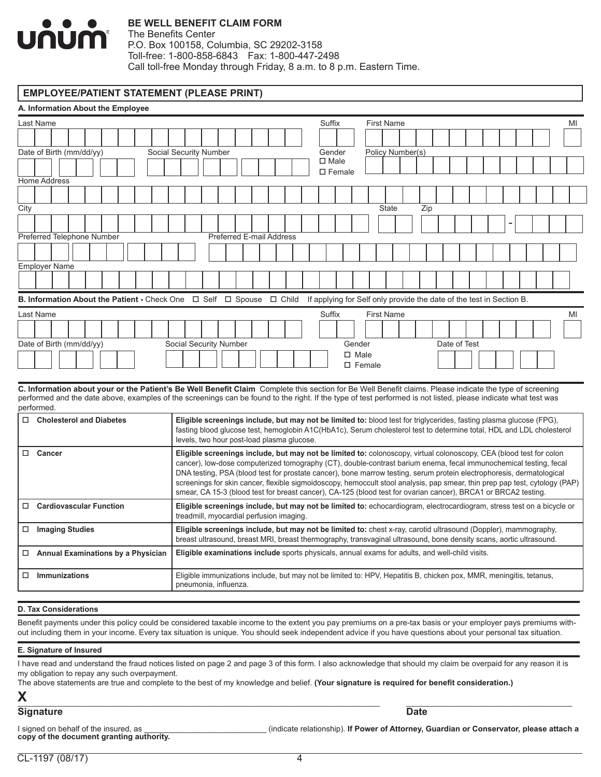

#### **BE WELL BENEFIT CLAIM FORM**

The Benefits Center P.O. Box 100158, Columbia, SC 29202-3158 Toll-free: 1-800-858-6843 Fax: 1-800-447-2498 Call toll-free Monday through Friday, 8 a.m. to 8 p.m. Eastern Time.

#### **EMPLOYEE/PATIENT STATEMENT (PLEASE PRINT)**

| A. Information About the Employee                                                                                                                                                                                                                                                                                                        |                                                                                                                                                                                                                                                                                                                                                                                                                                                                                                                                                                                                                    |  |  |
|------------------------------------------------------------------------------------------------------------------------------------------------------------------------------------------------------------------------------------------------------------------------------------------------------------------------------------------|--------------------------------------------------------------------------------------------------------------------------------------------------------------------------------------------------------------------------------------------------------------------------------------------------------------------------------------------------------------------------------------------------------------------------------------------------------------------------------------------------------------------------------------------------------------------------------------------------------------------|--|--|
| Last Name                                                                                                                                                                                                                                                                                                                                | Suffix<br><b>First Name</b><br>MI                                                                                                                                                                                                                                                                                                                                                                                                                                                                                                                                                                                  |  |  |
|                                                                                                                                                                                                                                                                                                                                          |                                                                                                                                                                                                                                                                                                                                                                                                                                                                                                                                                                                                                    |  |  |
| Date of Birth (mm/dd/yy)                                                                                                                                                                                                                                                                                                                 | Social Security Number<br>Policy Number(s)<br>Gender                                                                                                                                                                                                                                                                                                                                                                                                                                                                                                                                                               |  |  |
|                                                                                                                                                                                                                                                                                                                                          | $\square$ Male<br>$\square$ Female                                                                                                                                                                                                                                                                                                                                                                                                                                                                                                                                                                                 |  |  |
| <b>Home Address</b>                                                                                                                                                                                                                                                                                                                      |                                                                                                                                                                                                                                                                                                                                                                                                                                                                                                                                                                                                                    |  |  |
|                                                                                                                                                                                                                                                                                                                                          |                                                                                                                                                                                                                                                                                                                                                                                                                                                                                                                                                                                                                    |  |  |
| City                                                                                                                                                                                                                                                                                                                                     | <b>State</b><br>Zip                                                                                                                                                                                                                                                                                                                                                                                                                                                                                                                                                                                                |  |  |
|                                                                                                                                                                                                                                                                                                                                          |                                                                                                                                                                                                                                                                                                                                                                                                                                                                                                                                                                                                                    |  |  |
| Preferred Telephone Number                                                                                                                                                                                                                                                                                                               | Preferred E-mail Address                                                                                                                                                                                                                                                                                                                                                                                                                                                                                                                                                                                           |  |  |
|                                                                                                                                                                                                                                                                                                                                          |                                                                                                                                                                                                                                                                                                                                                                                                                                                                                                                                                                                                                    |  |  |
| <b>Employer Name</b>                                                                                                                                                                                                                                                                                                                     |                                                                                                                                                                                                                                                                                                                                                                                                                                                                                                                                                                                                                    |  |  |
|                                                                                                                                                                                                                                                                                                                                          |                                                                                                                                                                                                                                                                                                                                                                                                                                                                                                                                                                                                                    |  |  |
| <b>B. Information About the Patient - Check One <math>\Box</math> Self <math>\Box</math> Spouse <math>\Box</math> Child</b><br>If applying for Self only provide the date of the test in Section B.                                                                                                                                      |                                                                                                                                                                                                                                                                                                                                                                                                                                                                                                                                                                                                                    |  |  |
| Last Name                                                                                                                                                                                                                                                                                                                                | Suffix<br><b>First Name</b><br>MI                                                                                                                                                                                                                                                                                                                                                                                                                                                                                                                                                                                  |  |  |
|                                                                                                                                                                                                                                                                                                                                          |                                                                                                                                                                                                                                                                                                                                                                                                                                                                                                                                                                                                                    |  |  |
| Date of Birth (mm/dd/yy)                                                                                                                                                                                                                                                                                                                 | Social Security Number<br>Gender<br>Date of Test                                                                                                                                                                                                                                                                                                                                                                                                                                                                                                                                                                   |  |  |
|                                                                                                                                                                                                                                                                                                                                          | $\Box$ Male                                                                                                                                                                                                                                                                                                                                                                                                                                                                                                                                                                                                        |  |  |
|                                                                                                                                                                                                                                                                                                                                          | $\square$ Female                                                                                                                                                                                                                                                                                                                                                                                                                                                                                                                                                                                                   |  |  |
| C. Information about your or the Patient's Be Well Benefit Claim Complete this section for Be Well Benefit claims. Please indicate the type of screening<br>performed and the date above, examples of the screenings can be found to the right. If the type of test performed is not listed, please indicate what test was<br>performed. |                                                                                                                                                                                                                                                                                                                                                                                                                                                                                                                                                                                                                    |  |  |
| $\Box$ Cholesterol and Diabetes                                                                                                                                                                                                                                                                                                          | Eligible screenings include, but may not be limited to: blood test for triglycerides, fasting plasma glucose (FPG),                                                                                                                                                                                                                                                                                                                                                                                                                                                                                                |  |  |
|                                                                                                                                                                                                                                                                                                                                          | fasting blood glucose test, hemoglobin A1C(HbA1c), Serum cholesterol test to determine total, HDL and LDL cholesterol                                                                                                                                                                                                                                                                                                                                                                                                                                                                                              |  |  |
|                                                                                                                                                                                                                                                                                                                                          | levels, two hour post-load plasma glucose.                                                                                                                                                                                                                                                                                                                                                                                                                                                                                                                                                                         |  |  |
| □ Cancer                                                                                                                                                                                                                                                                                                                                 | Eligible screenings include, but may not be limited to: colonoscopy, virtual colonoscopy, CEA (blood test for colon<br>cancer), low-dose computerized tomography (CT), double-contrast barium enema, fecal immunochemical testing, fecal<br>DNA testing, PSA (blood test for prostate cancer), bone marrow testing, serum protein electrophoresis, dermatological<br>screenings for skin cancer, flexible sigmoidoscopy, hemoccult stool analysis, pap smear, thin prep pap test, cytology (PAP)<br>smear, CA 15-3 (blood test for breast cancer), CA-125 (blood test for ovarian cancer), BRCA1 or BRCA2 testing. |  |  |
| <b>Cardiovascular Function</b><br>$\Box$                                                                                                                                                                                                                                                                                                 | Eligible screenings include, but may not be limited to: echocardiogram, electrocardiogram, stress test on a bicycle or<br>treadmill, myocardial perfusion imaging.                                                                                                                                                                                                                                                                                                                                                                                                                                                 |  |  |
| $\Box$ Imaging Studies                                                                                                                                                                                                                                                                                                                   | Eligible screenings include, but may not be limited to: chest x-ray, carotid ultrasound (Doppler), mammography,<br>breast ultrasound, breast MRI, breast thermography, transvaginal ultrasound, bone density scans, aortic ultrasound.                                                                                                                                                                                                                                                                                                                                                                             |  |  |
| □ Annual Examinations by a Physician                                                                                                                                                                                                                                                                                                     | <b>Eligible examinations include</b> sports physicals, annual exams for adults, and well-child visits.                                                                                                                                                                                                                                                                                                                                                                                                                                                                                                             |  |  |
| $\Box$ Immunizations                                                                                                                                                                                                                                                                                                                     | Eligible immunizations include, but may not be limited to: HPV, Hepatitis B, chicken pox, MMR, meningitis, tetanus,<br>pneumonia, influenza.                                                                                                                                                                                                                                                                                                                                                                                                                                                                       |  |  |

#### **D. Tax Considerations**

Benefit payments under this policy could be considered taxable income to the extent you pay premiums on a pre-tax basis or your employer pays premiums without including them in your income. Every tax situation is unique. You should seek independent advice if you have questions about your personal tax situation.

#### **E. Signature of Insured**

I have read and understand the fraud notices listed on page 2 and page 3 of this form. I also acknowledge that should my claim be overpaid for any reason it is my obligation to repay any such overpayment.

The above statements are true and complete to the best of my knowledge and belief. **(Your signature is required for benefit consideration.) X**\_\_\_\_\_\_\_\_\_\_\_\_\_\_\_\_\_\_\_\_\_\_\_\_\_\_\_\_\_\_\_\_\_\_\_\_\_\_\_\_\_\_\_\_\_\_\_\_\_\_\_\_\_\_\_\_\_\_\_\_\_\_\_\_\_\_\_\_\_\_\_\_\_\_\_\_\_\_\_\_\_\_\_ \_\_\_\_\_\_\_\_\_\_\_\_\_\_\_\_\_\_\_\_\_\_\_\_\_\_\_\_\_\_\_\_\_\_\_\_\_\_

#### **Signature** Date

| I signed on behalf of the insured, as    | (indicate relationship). If Power of Attorney, Guardian or Conservator, please attach a |
|------------------------------------------|-----------------------------------------------------------------------------------------|
| copy of the document granting authority. |                                                                                         |